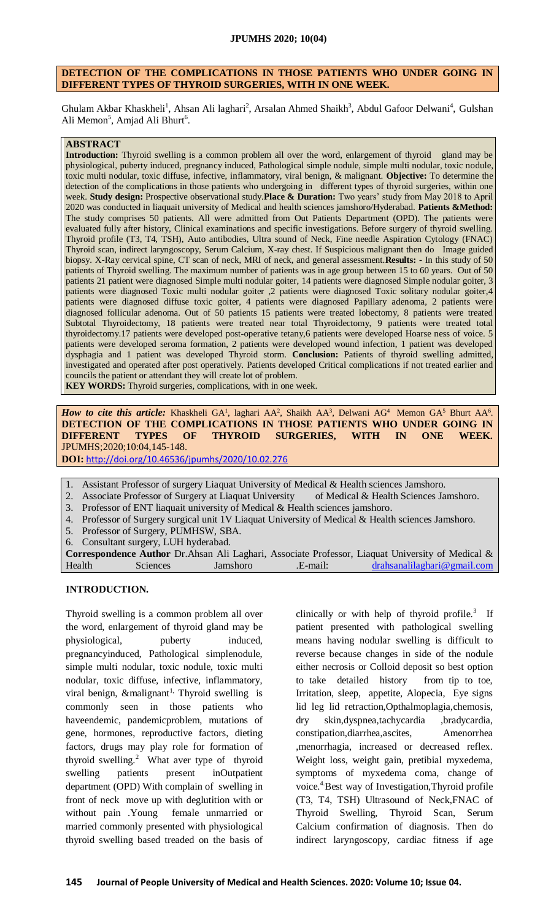## **DETECTION OF THE COMPLICATIONS IN THOSE PATIENTS WHO UNDER GOING IN DIFFERENT TYPES OF THYROID SURGERIES, WITH IN ONE WEEK.**

Ghulam Akbar Khaskheli<sup>1</sup>, Ahsan Ali laghari<sup>2</sup>, Arsalan Ahmed Shaikh<sup>3</sup>, Abdul Gafoor Delwani<sup>4</sup>, Gulshan Ali Memon<sup>5</sup>, Amjad Ali Bhurt<sup>6</sup>.

#### **ABSTRACT**

**Introduction:** Thyroid swelling is a common problem all over the word, enlargement of thyroid gland may be physiological, puberty induced, pregnancy induced, Pathological simple nodule, simple multi nodular, toxic nodule, toxic multi nodular, toxic diffuse, infective, inflammatory, viral benign, & malignant. **Objective:** To determine the detection of the complications in those patients who undergoing in different types of thyroid surgeries, within one week. **Study design:** Prospective observational study.**Place & Duration:** Two years' study from May 2018 to April 2020 was conducted in liaquait university of Medical and health sciences jamshoro/Hyderabad. **Patients &Method:** The study comprises 50 patients. All were admitted from Out Patients Department (OPD). The patients were evaluated fully after history, Clinical examinations and specific investigations. Before surgery of thyroid swelling. Thyroid profile (T3, T4, TSH), Auto antibodies, Ultra sound of Neck, Fine needle Aspiration Cytology (FNAC) Thyroid scan, indirect laryngoscopy, Serum Calcium, X-ray chest. If Suspicious malignant then do Image guided biopsy. X-Ray cervical spine, CT scan of neck, MRI of neck, and general assessment.**Results: -** In this study of 50 patients of Thyroid swelling. The maximum number of patients was in age group between 15 to 60 years. Out of 50 patients 21 patient were diagnosed Simple multi nodular goiter, 14 patients were diagnosed Simple nodular goiter, 3 patients were diagnosed Toxic multi nodular goiter ,2 patients were diagnosed Toxic solitary nodular goiter,4 patients were diagnosed diffuse toxic goiter, 4 patients were diagnosed Papillary adenoma, 2 patients were diagnosed follicular adenoma. Out of 50 patients 15 patients were treated lobectomy, 8 patients were treated Subtotal Thyroidectomy, 18 patients were treated near total Thyroidectomy, 9 patients were treated total thyroidectomy.17 patients were developed post-operative tetany,6 patients were developed Hoarse ness of voice. 5 patients were developed seroma formation, 2 patients were developed wound infection, 1 patient was developed dysphagia and 1 patient was developed Thyroid storm. **Conclusion:** Patients of thyroid swelling admitted, investigated and operated after post operatively. Patients developed Critical complications if not treated earlier and councils the patient or attendant they will create lot of problem.

**KEY WORDS:** Thyroid surgeries, complications, with in one week.

How to cite this article: Khaskheli GA<sup>1</sup>, laghari AA<sup>2</sup>, Shaikh AA<sup>3</sup>, Delwani AG<sup>4</sup> Memon GA<sup>5</sup> Bhurt AA<sup>6</sup>. **DETECTION OF THE COMPLICATIONS IN THOSE PATIENTS WHO UNDER GOING IN DIFFERENT TYPES OF THYROID SURGERIES, WITH IN ONE WEEK.**  JPUMHS;2020;10:04,145-148.

**DOI:** <http://doi.org/10.46536/jpumhs/2020/10.02.276>

- 1. Assistant Professor of surgery Liaquat University of Medical & Health sciences Jamshoro.
- 2. Associate Professor of Surgery at Liaquat University of Medical & Health Sciences Jamshoro.
- 3. Professor of ENT liaquait university of Medical & Health sciences jamshoro.
- 4. Professor of Surgery surgical unit 1V Liaquat University of Medical & Health sciences Jamshoro.
- 5. Professor of Surgery, PUMHSW, SBA.
- 6. Consultant surgery, LUH hyderabad.

**Correspondence Author** Dr.Ahsan Ali Laghari, Associate Professor, Liaquat University of Medical & Health Sciences Jamshoro .E-mail: [drahsanalilaghari@gmail.com](mailto:drahsanalilaghari@gmail.com)

### **INTRODUCTION.**

Thyroid swelling is a common problem all over the word, enlargement of thyroid gland may be physiological, puberty induced, pregnancyinduced, Pathological simplenodule, simple multi nodular, toxic nodule, toxic multi nodular, toxic diffuse, infective, inflammatory, viral benign,  $\&$ malignant<sup>1,</sup> Thyroid swelling is commonly seen in those patients who haveendemic, pandemicproblem, mutations of gene, hormones, reproductive factors, dieting factors, drugs may play role for formation of thyroid swelling.<sup>2</sup> What aver type of thyroid swelling patients present inOutpatient department (OPD) With complain of swelling in front of neck move up with deglutition with or without pain .Young female unmarried or married commonly presented with physiological thyroid swelling based treaded on the basis of

clinically or with help of thyroid profile. $3$  If patient presented with pathological swelling means having nodular swelling is difficult to reverse because changes in side of the nodule either necrosis or Colloid deposit so best option to take detailed history from tip to toe, Irritation, sleep, appetite, Alopecia, Eye signs lid leg lid retraction,Opthalmoplagia,chemosis, dry skin,dyspnea,tachycardia ,bradycardia, constipation,diarrhea,ascites, Amenorrhea ,menorrhagia, increased or decreased reflex. Weight loss, weight gain, pretibial myxedema, symptoms of myxedema coma, change of voice.<sup>4</sup> Best way of Investigation, Thyroid profile (T3, T4, TSH) Ultrasound of Neck,FNAC of Thyroid Swelling, Thyroid Scan, Serum Calcium confirmation of diagnosis. Then do indirect laryngoscopy, cardiac fitness if age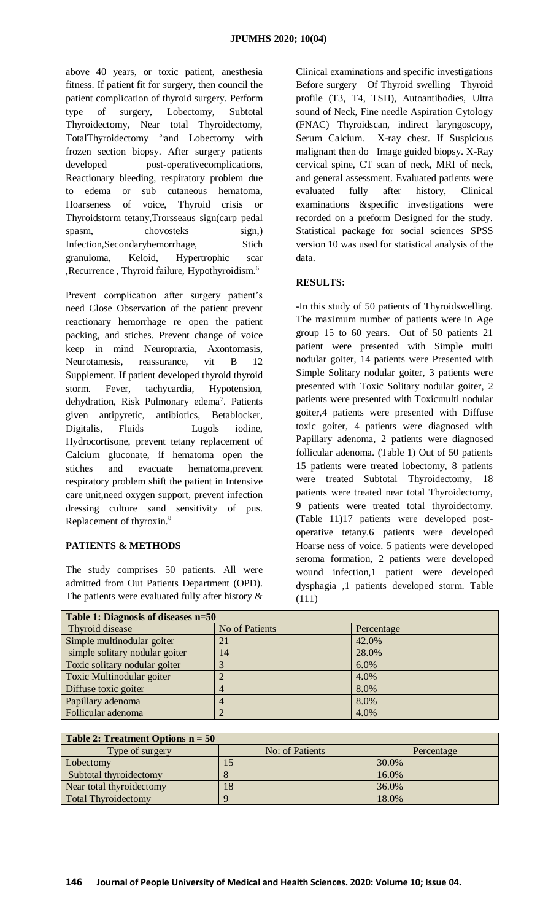above 40 years, or toxic patient, anesthesia fitness. If patient fit for surgery, then council the patient complication of thyroid surgery. Perform type of surgery, Lobectomy, Subtotal Thyroidectomy, Near total Thyroidectomy, TotalThyroidectomy <sup>5,</sup> and Lobectomy with frozen section biopsy. After surgery patients developed post-operative complications, Reactionary bleeding, respiratory problem due to edema or sub cutaneous hematoma, Hoarseness of voice, Thyroid crisis or Thyroidstorm tetany,Trorsseaus sign(carp pedal spasm, chovosteks sign,) Infection,Secondaryhemorrhage, Stich granuloma, Keloid, Hypertrophic scar ,Recurrence , Thyroid failure, Hypothyroidism.<sup>6</sup>

Prevent complication after surgery patient's need Close Observation of the patient prevent reactionary hemorrhage re open the patient packing, and stiches. Prevent change of voice keep in mind Neuropraxia, Axontomasis, Neurotamesis, reassurance, vit B 12 Supplement. If patient developed thyroid thyroid storm. Fever, tachycardia, Hypotension, dehydration, Risk Pulmonary edema<sup>7</sup>. Patients given antipyretic, antibiotics, Betablocker, Digitalis, Fluids Lugols iodine, Hydrocortisone, prevent tetany replacement of Calcium gluconate, if hematoma open the stiches and evacuate hematoma,prevent respiratory problem shift the patient in Intensive care unit,need oxygen support, prevent infection dressing culture sand sensitivity of pus. Replacement of thyroxin.<sup>8</sup>

# **PATIENTS & METHODS**

The study comprises 50 patients. All were admitted from Out Patients Department (OPD). The patients were evaluated fully after history  $\&$ 

Clinical examinations and specific investigations Before surgery Of Thyroid swelling Thyroid profile (T3, T4, TSH), Autoantibodies, Ultra sound of Neck, Fine needle Aspiration Cytology (FNAC) Thyroidscan, indirect laryngoscopy, Serum Calcium. X-ray chest. If Suspicious malignant then do Image guided biopsy. X-Ray cervical spine, CT scan of neck, MRI of neck, and general assessment. Evaluated patients were evaluated fully after history, Clinical examinations &specific investigations were recorded on a preform Designed for the study. Statistical package for social sciences SPSS version 10 was used for statistical analysis of the data.

# **RESULTS:**

**-**In this study of 50 patients of Thyroidswelling. The maximum number of patients were in Age group 15 to 60 years. Out of 50 patients 21 patient were presented with Simple multi nodular goiter, 14 patients were Presented with Simple Solitary nodular goiter, 3 patients were presented with Toxic Solitary nodular goiter, 2 patients were presented with Toxicmulti nodular goiter,4 patients were presented with Diffuse toxic goiter, 4 patients were diagnosed with Papillary adenoma, 2 patients were diagnosed follicular adenoma. (Table 1) Out of 50 patients 15 patients were treated lobectomy, 8 patients were treated Subtotal Thyroidectomy, 18 patients were treated near total Thyroidectomy, 9 patients were treated total thyroidectomy. (Table 11)17 patients were developed postoperative tetany.6 patients were developed Hoarse ness of voice. 5 patients were developed seroma formation, 2 patients were developed wound infection,1 patient were developed dysphagia ,1 patients developed storm. Table (111)

| Table 1: Diagnosis of diseases n=50 |                |            |  |  |
|-------------------------------------|----------------|------------|--|--|
| Thyroid disease                     | No of Patients | Percentage |  |  |
| Simple multinodular goiter          |                | 42.0%      |  |  |
| simple solitary nodular goiter      | 14             | 28.0%      |  |  |
| Toxic solitary nodular goiter       |                | 6.0%       |  |  |
| Toxic Multinodular goiter           |                | 4.0%       |  |  |
| Diffuse toxic goiter                |                | 8.0%       |  |  |
| Papillary adenoma                   |                | 8.0%       |  |  |
| Follicular adenoma                  |                | 4.0%       |  |  |

| Table 2: Treatment Options $n = 50$ |                 |            |  |  |  |
|-------------------------------------|-----------------|------------|--|--|--|
| Type of surgery                     | No: of Patients | Percentage |  |  |  |
| Lobectomy                           |                 | 30.0%      |  |  |  |
| Subtotal thyroidectomy              |                 | 16.0%      |  |  |  |
| Near total thyroidectomy            | 18              | 36.0%      |  |  |  |
| <b>Total Thyroidectomy</b>          |                 | 18.0%      |  |  |  |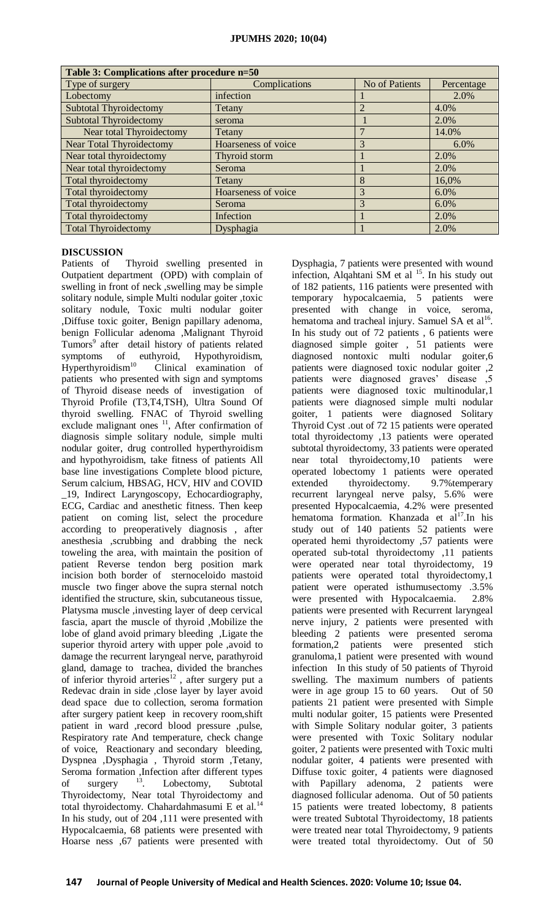| Table 3: Complications after procedure n=50 |                     |                       |            |  |  |
|---------------------------------------------|---------------------|-----------------------|------------|--|--|
| Type of surgery                             | Complications       | <b>No of Patients</b> | Percentage |  |  |
| Lobectomy                                   | infection           |                       | 2.0%       |  |  |
| <b>Subtotal Thyroidectomy</b>               | Tetany              |                       | 4.0%       |  |  |
| <b>Subtotal Thyroidectomy</b>               | seroma              |                       | 2.0%       |  |  |
| Near total Thyroidectomy                    | Tetany              |                       | 14.0%      |  |  |
| <b>Near Total Thyroidectomy</b>             | Hoarseness of voice | 3                     | $6.0\%$    |  |  |
| Near total thyroidectomy                    | Thyroid storm       |                       | 2.0%       |  |  |
| Near total thyroidectomy                    | Seroma              |                       | 2.0%       |  |  |
| Total thyroidectomy                         | Tetany              | 8                     | 16,0%      |  |  |
| Total thyroidectomy                         | Hoarseness of voice | 3                     | 6.0%       |  |  |
| Total thyroidectomy                         | Seroma              | 3                     | 6.0%       |  |  |
| Total thyroidectomy                         | Infection           |                       | 2.0%       |  |  |
| <b>Total Thyroidectomy</b>                  | Dysphagia           |                       | 2.0%       |  |  |

## **DISCUSSION**

Patients of Thyroid swelling presented in Outpatient department (OPD) with complain of swelling in front of neck ,swelling may be simple solitary nodule, simple Multi nodular goiter ,toxic solitary nodule, Toxic multi nodular goiter ,Diffuse toxic goiter, Benign papillary adenoma, benign Follicular adenoma ,Malignant Thyroid Tumors<sup>9</sup> after detail history of patients related symptoms of euthyroid, Hypothyroidism, Hyperthyroidism<sup>10</sup> Clinical examination of patients who presented with sign and symptoms of Thyroid disease needs of investigation of Thyroid Profile (T3,T4,TSH), Ultra Sound Of thyroid swelling. FNAC of Thyroid swelling exclude malignant ones  $11$ , After confirmation of diagnosis simple solitary nodule, simple multi nodular goiter, drug controlled hyperthyroidism and hypothyroidism, take fitness of patients All base line investigations Complete blood picture, Serum calcium, HBSAG, HCV, HIV and COVID \_19, Indirect Laryngoscopy, Echocardiography, ECG, Cardiac and anesthetic fitness. Then keep patient on coming list, select the procedure according to preoperatively diagnosis , after anesthesia ,scrubbing and drabbing the neck toweling the area, with maintain the position of patient Reverse tendon berg position mark incision both border of sternoceloido mastoid muscle two finger above the supra sternal notch identified the structure, skin, subcutaneous tissue, Platysma muscle ,investing layer of deep cervical fascia, apart the muscle of thyroid ,Mobilize the lobe of gland avoid primary bleeding ,Ligate the superior thyroid artery with upper pole ,avoid to damage the recurrent laryngeal nerve, parathyroid gland, damage to trachea, divided the branches of inferior thyroid arteries<sup>12</sup>, after surgery put a Redevac drain in side ,close layer by layer avoid dead space due to collection, seroma formation after surgery patient keep in recovery room,shift patient in ward ,record blood pressure ,pulse, Respiratory rate And temperature, check change of voice, Reactionary and secondary bleeding, Dyspnea ,Dysphagia , Thyroid storm ,Tetany, Seroma formation ,Infection after different types of surgery <sup>13</sup>. Lobectomy, Subtotal Thyroidectomy, Near total Thyroidectomy and total thyroidectomy. Chahardahmasumi E et al.<sup>14</sup> In his study, out of 204 ,111 were presented with Hypocalcaemia, 68 patients were presented with Hoarse ness ,67 patients were presented with

Dysphagia, 7 patients were presented with wound infection, Alqahtani SM et al <sup>15</sup>. In his study out of 182 patients, 116 patients were presented with temporary hypocalcaemia, 5 patients were presented with change in voice, seroma, hematoma and tracheal injury. Samuel SA et  $al<sup>16</sup>$ . In his study out of 72 patients , 6 patients were diagnosed simple goiter , 51 patients were diagnosed nontoxic multi nodular goiter,6 patients were diagnosed toxic nodular goiter ,2 patients were diagnosed graves' disease ,5 patients were diagnosed toxic multinodular,1 patients were diagnosed simple multi nodular goiter, 1 patients were diagnosed Solitary Thyroid Cyst .out of 72 15 patients were operated total thyroidectomy ,13 patients were operated subtotal thyroidectomy, 33 patients were operated near total thyroidectomy,10 patients were operated lobectomy 1 patients were operated extended thyroidectomy. 9.7%temperary recurrent laryngeal nerve palsy, 5.6% were presented Hypocalcaemia, 4.2% were presented hematoma formation. Khanzada et  $al^{17}$ . In his study out of 140 patients 52 patients were operated hemi thyroidectomy ,57 patients were operated sub-total thyroidectomy ,11 patients were operated near total thyroidectomy, 19 patients were operated total thyroidectomy,1 patient were operated isthumusectomy .3.5% were presented with Hypocalcaemia. 2.8% patients were presented with Recurrent laryngeal nerve injury, 2 patients were presented with bleeding 2 patients were presented seroma formation,2 patients were presented stich granuloma,1 patient were presented with wound infection In this study of 50 patients of Thyroid swelling. The maximum numbers of patients were in age group 15 to 60 years. Out of 50 patients 21 patient were presented with Simple multi nodular goiter, 15 patients were Presented with Simple Solitary nodular goiter, 3 patients were presented with Toxic Solitary nodular goiter, 2 patients were presented with Toxic multi nodular goiter, 4 patients were presented with Diffuse toxic goiter, 4 patients were diagnosed with Papillary adenoma, 2 patients were diagnosed follicular adenoma. Out of 50 patients 15 patients were treated lobectomy, 8 patients were treated Subtotal Thyroidectomy, 18 patients were treated near total Thyroidectomy, 9 patients were treated total thyroidectomy. Out of 50